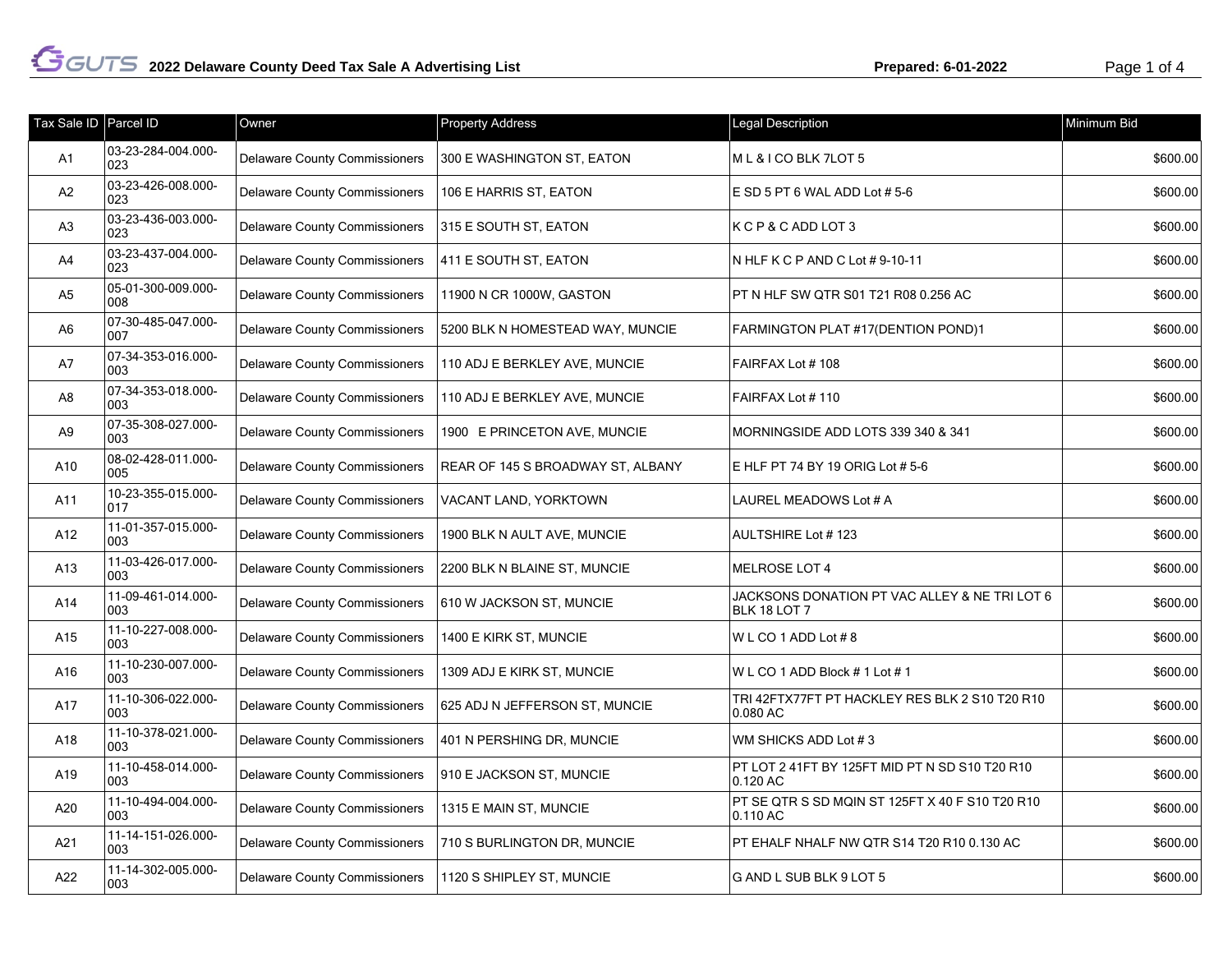| Tax Sale ID   Parcel ID |                            | Owner                                | <b>Property Address</b>           | Legal Description                                             | Minimum Bid |
|-------------------------|----------------------------|--------------------------------------|-----------------------------------|---------------------------------------------------------------|-------------|
| A1                      | 03-23-284-004.000-<br>023  | <b>Delaware County Commissioners</b> | 300 E WASHINGTON ST, EATON        | ML & I CO BLK 7LOT 5                                          | \$600.00    |
| A <sub>2</sub>          | 03-23-426-008.000-<br>023  | <b>Delaware County Commissioners</b> | 106 E HARRIS ST, EATON            | E SD 5 PT 6 WAL ADD Lot #5-6                                  | \$600.00    |
| A <sub>3</sub>          | 03-23-436-003.000-<br>023  | <b>Delaware County Commissioners</b> | 315 E SOUTH ST, EATON             | KCP&CADDLOT3                                                  | \$600.00    |
| A4                      | 03-23-437-004.000-<br>023  | <b>Delaware County Commissioners</b> | 411 E SOUTH ST, EATON             | N HLF K C P AND C Lot # 9-10-11                               | \$600.00    |
| A <sub>5</sub>          | 05-01-300-009.000-<br>008  | <b>Delaware County Commissioners</b> | 11900 N CR 1000W, GASTON          | PT N HLF SW QTR S01 T21 R08 0.256 AC                          | \$600.00    |
| A6                      | 07-30-485-047.000-<br>007  | <b>Delaware County Commissioners</b> | 5200 BLK N HOMESTEAD WAY, MUNCIE  | FARMINGTON PLAT #17(DENTION POND)1                            | \$600.00    |
| A7                      | 07-34-353-016.000-<br>003  | <b>Delaware County Commissioners</b> | 110 ADJ E BERKLEY AVE, MUNCIE     | FAIRFAX Lot #108                                              | \$600.00    |
| A8                      | 07-34-353-018.000-<br>003  | <b>Delaware County Commissioners</b> | 110 ADJ E BERKLEY AVE, MUNCIE     | FAIRFAX Lot #110                                              | \$600.00    |
| A9                      | 07-35-308-027.000-<br>003  | <b>Delaware County Commissioners</b> | 1900 E PRINCETON AVE, MUNCIE      | MORNINGSIDE ADD LOTS 339 340 & 341                            | \$600.00    |
| A10                     | 08-02-428-011.000-<br>005  | <b>Delaware County Commissioners</b> | REAR OF 145 S BROADWAY ST, ALBANY | E HLF PT 74 BY 19 ORIG Lot # 5-6                              | \$600.00    |
| A11                     | 10-23-355-015.000-<br>017  | <b>Delaware County Commissioners</b> | VACANT LAND, YORKTOWN             | LAUREL MEADOWS Lot # A                                        | \$600.00    |
| A12                     | 11-01-357-015.000-<br>003  | <b>Delaware County Commissioners</b> | 1900 BLK N AULT AVE, MUNCIE       | AULTSHIRE Lot #123                                            | \$600.00    |
| A13                     | 11-03-426-017.000-<br>003  | <b>Delaware County Commissioners</b> | 2200 BLK N BLAINE ST, MUNCIE      | <b>MELROSE LOT 4</b>                                          | \$600.00    |
| A14                     | 11-09-461-014.000-<br>003  | <b>Delaware County Commissioners</b> | 610 W JACKSON ST, MUNCIE          | JACKSONS DONATION PT VAC ALLEY & NE TRI LOT 6<br>BLK 18 LOT 7 | \$600.00    |
| A15                     | 11-10-227-008.000-<br>003  | <b>Delaware County Commissioners</b> | 1400 E KIRK ST, MUNCIE            | WLCO1ADDLot#8                                                 | \$600.00    |
| A16                     | 11-10-230-007.000-<br>003  | <b>Delaware County Commissioners</b> | 1309 ADJ E KIRK ST, MUNCIE        | WLCO 1 ADD Block # 1 Lot # 1                                  | \$600.00    |
| A17                     | 11-10-306-022.000-<br>003  | <b>Delaware County Commissioners</b> | 625 ADJ N JEFFERSON ST, MUNCIE    | TRI 42FTX77FT PT HACKLEY RES BLK 2 S10 T20 R10<br>0.080 AC    | \$600.00    |
| A18                     | 11-10-378-021.000-<br>003  | <b>Delaware County Commissioners</b> | 401 N PERSHING DR, MUNCIE         | WM SHICKS ADD Lot #3                                          | \$600.00    |
| A19                     | 11-10-458-014.000-<br>003  | <b>Delaware County Commissioners</b> | 910 E JACKSON ST, MUNCIE          | PT LOT 2 41FT BY 125FT MID PT N SD S10 T20 R10<br>0.120 AC    | \$600.00    |
| A20                     | 11-10-494-004.000-<br>003  | <b>Delaware County Commissioners</b> | 1315 E MAIN ST, MUNCIE            | PT SE QTR S SD MQIN ST 125FT X 40 F S10 T20 R10<br>0.110 AC   | \$600.00    |
| A21                     | 11-14-151-026.000-<br>003  | <b>Delaware County Commissioners</b> | 710 S BURLINGTON DR, MUNCIE       | PT EHALF NHALF NW QTR S14 T20 R10 0.130 AC                    | \$600.00    |
| A22                     | 11-14-302-005.000-<br>1003 | <b>Delaware County Commissioners</b> | 1120 S SHIPLEY ST, MUNCIE         | G AND L SUB BLK 9 LOT 5                                       | \$600.00    |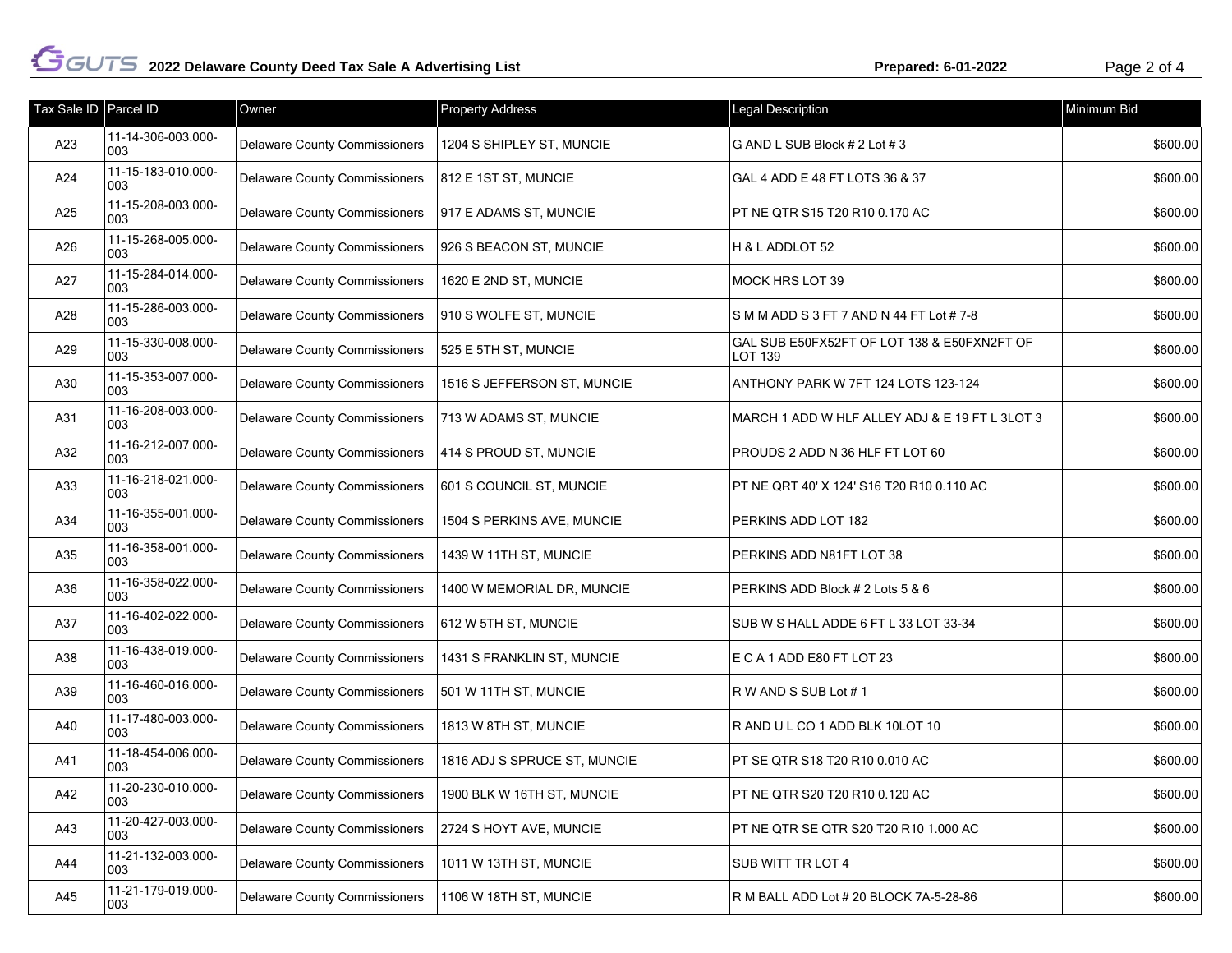| Tax Sale ID   Parcel ID |                           | Owner                                | <b>Property Address</b>      | Legal Description                                      | Minimum Bid |
|-------------------------|---------------------------|--------------------------------------|------------------------------|--------------------------------------------------------|-------------|
| A23                     | 11-14-306-003.000-<br>003 | <b>Delaware County Commissioners</b> | 1204 S SHIPLEY ST, MUNCIE    | G AND L SUB Block # 2 Lot # 3                          | \$600.00    |
| A24                     | 11-15-183-010.000-<br>003 | Delaware County Commissioners        | 812 E 1ST ST, MUNCIE         | GAL 4 ADD E 48 FT LOTS 36 & 37                         | \$600.00    |
| A25                     | 11-15-208-003.000-<br>003 | <b>Delaware County Commissioners</b> | 917 E ADAMS ST, MUNCIE       | PT NE QTR S15 T20 R10 0.170 AC                         | \$600.00    |
| A26                     | 11-15-268-005.000-<br>003 | <b>Delaware County Commissioners</b> | 926 S BEACON ST, MUNCIE      | H & L ADDLOT 52                                        | \$600.00    |
| A27                     | 11-15-284-014.000-<br>003 | Delaware County Commissioners        | 1620 E 2ND ST, MUNCIE        | MOCK HRS LOT 39                                        | \$600.00    |
| A28                     | 11-15-286-003.000-<br>003 | <b>Delaware County Commissioners</b> | 910 S WOLFE ST, MUNCIE       | S M M ADD S 3 FT 7 AND N 44 FT Lot # 7-8               | \$600.00    |
| A29                     | 11-15-330-008.000-<br>003 | <b>Delaware County Commissioners</b> | 525 E 5TH ST, MUNCIE         | GAL SUB E50FX52FT OF LOT 138 & E50FXN2FT OF<br>LOT 139 | \$600.00    |
| A30                     | 11-15-353-007.000-<br>003 | Delaware County Commissioners        | 1516 S JEFFERSON ST, MUNCIE  | ANTHONY PARK W 7FT 124 LOTS 123-124                    | \$600.00    |
| A31                     | 11-16-208-003.000-<br>003 | Delaware County Commissioners        | 713 W ADAMS ST, MUNCIE       | MARCH 1 ADD W HLF ALLEY ADJ & E 19 FT L 3LOT 3         | \$600.00    |
| A32                     | 11-16-212-007.000-<br>003 | <b>Delaware County Commissioners</b> | 414 S PROUD ST, MUNCIE       | PROUDS 2 ADD N 36 HLF FT LOT 60                        | \$600.00    |
| A33                     | 11-16-218-021.000-<br>003 | Delaware County Commissioners        | 601 S COUNCIL ST, MUNCIE     | PT NE QRT 40' X 124' S16 T20 R10 0.110 AC              | \$600.00    |
| A34                     | 11-16-355-001.000-<br>003 | <b>Delaware County Commissioners</b> | 1504 S PERKINS AVE, MUNCIE   | PERKINS ADD LOT 182                                    | \$600.00    |
| A35                     | 11-16-358-001.000-<br>003 | <b>Delaware County Commissioners</b> | 1439 W 11TH ST, MUNCIE       | PERKINS ADD N81FT LOT 38                               | \$600.00    |
| A36                     | 11-16-358-022.000-<br>003 | <b>Delaware County Commissioners</b> | 1400 W MEMORIAL DR, MUNCIE   | PERKINS ADD Block # 2 Lots 5 & 6                       | \$600.00    |
| A37                     | 11-16-402-022.000-<br>003 | Delaware County Commissioners        | 612 W 5TH ST, MUNCIE         | SUB W S HALL ADDE 6 FT L 33 LOT 33-34                  | \$600.00    |
| A38                     | 11-16-438-019.000-<br>003 | Delaware County Commissioners        | 1431 S FRANKLIN ST, MUNCIE   | E C A 1 ADD E80 FT LOT 23                              | \$600.00    |
| A39                     | 11-16-460-016.000-<br>003 | <b>Delaware County Commissioners</b> | 501 W 11TH ST, MUNCIE        | R W AND S SUB Lot #1                                   | \$600.00    |
| A40                     | 11-17-480-003.000-<br>003 | Delaware County Commissioners        | 1813 W 8TH ST, MUNCIE        | R AND UL CO 1 ADD BLK 10LOT 10                         | \$600.00    |
| A41                     | 11-18-454-006.000-<br>003 | <b>Delaware County Commissioners</b> | 1816 ADJ S SPRUCE ST, MUNCIE | PT SE QTR S18 T20 R10 0.010 AC                         | \$600.00    |
| A42                     | 11-20-230-010.000-<br>003 | <b>Delaware County Commissioners</b> | 1900 BLK W 16TH ST, MUNCIE   | PT NE QTR S20 T20 R10 0.120 AC                         | \$600.00    |
| A43                     | 11-20-427-003.000-<br>003 | <b>Delaware County Commissioners</b> | 2724 S HOYT AVE, MUNCIE      | PT NE QTR SE QTR S20 T20 R10 1.000 AC                  | \$600.00    |
| A44                     | 11-21-132-003.000-<br>003 | <b>Delaware County Commissioners</b> | 1011 W 13TH ST, MUNCIE       | SUB WITT TR LOT 4                                      | \$600.00    |
| A45                     | 11-21-179-019.000-<br>003 | <b>Delaware County Commissioners</b> | 1106 W 18TH ST, MUNCIE       | R M BALL ADD Lot # 20 BLOCK 7A-5-28-86                 | \$600.00    |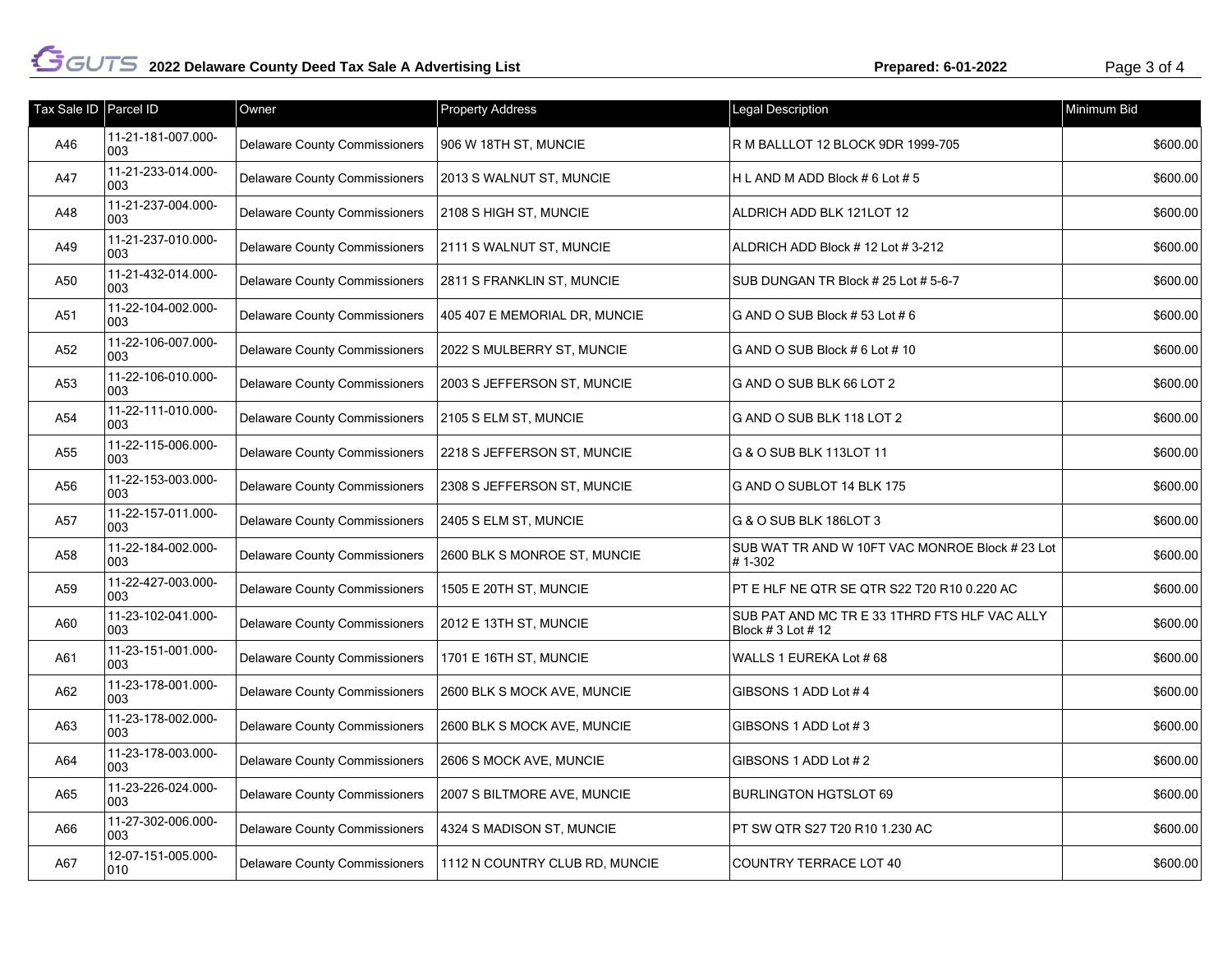| Tax Sale ID Parcel ID |                           | Owner                                | <b>Property Address</b>        | Legal Description                                                   | Minimum Bid |
|-----------------------|---------------------------|--------------------------------------|--------------------------------|---------------------------------------------------------------------|-------------|
| A46                   | 11-21-181-007.000-<br>003 | <b>Delaware County Commissioners</b> | 906 W 18TH ST, MUNCIE          | R M BALLLOT 12 BLOCK 9DR 1999-705                                   | \$600.00    |
| A47                   | 11-21-233-014.000-<br>003 | <b>Delaware County Commissioners</b> | 2013 S WALNUT ST, MUNCIE       | H L AND M ADD Block # 6 Lot # 5                                     | \$600.00    |
| A48                   | 11-21-237-004.000-<br>003 | <b>Delaware County Commissioners</b> | 2108 S HIGH ST, MUNCIE         | ALDRICH ADD BLK 121LOT 12                                           | \$600.00    |
| A49                   | 11-21-237-010.000-<br>003 | <b>Delaware County Commissioners</b> | 2111 S WALNUT ST, MUNCIE       | ALDRICH ADD Block #12 Lot #3-212                                    | \$600.00    |
| A50                   | 11-21-432-014.000-<br>003 | <b>Delaware County Commissioners</b> | 2811 S FRANKLIN ST, MUNCIE     | SUB DUNGAN TR Block # 25 Lot # 5-6-7                                | \$600.00    |
| A51                   | 11-22-104-002.000-<br>003 | <b>Delaware County Commissioners</b> | 405 407 E MEMORIAL DR, MUNCIE  | G AND O SUB Block #53 Lot #6                                        | \$600.00    |
| A52                   | 11-22-106-007.000-<br>003 | <b>Delaware County Commissioners</b> | 2022 S MULBERRY ST, MUNCIE     | G AND O SUB Block # 6 Lot # 10                                      | \$600.00    |
| A53                   | 11-22-106-010.000-<br>003 | <b>Delaware County Commissioners</b> | 2003 S JEFFERSON ST, MUNCIE    | G AND O SUB BLK 66 LOT 2                                            | \$600.00    |
| A54                   | 11-22-111-010.000-<br>003 | <b>Delaware County Commissioners</b> | 2105 S ELM ST, MUNCIE          | G AND O SUB BLK 118 LOT 2                                           | \$600.00    |
| A55                   | 11-22-115-006.000-<br>003 | <b>Delaware County Commissioners</b> | 2218 S JEFFERSON ST, MUNCIE    | G & O SUB BLK 113LOT 11                                             | \$600.00    |
| A56                   | 11-22-153-003.000-<br>003 | <b>Delaware County Commissioners</b> | 2308 S JEFFERSON ST, MUNCIE    | G AND O SUBLOT 14 BLK 175                                           | \$600.00    |
| A57                   | 11-22-157-011.000-<br>003 | <b>Delaware County Commissioners</b> | 2405 S ELM ST, MUNCIE          | G & O SUB BLK 186LOT 3                                              | \$600.00    |
| A58                   | 11-22-184-002.000-<br>003 | <b>Delaware County Commissioners</b> | 2600 BLK S MONROE ST, MUNCIE   | SUB WAT TR AND W 10FT VAC MONROE Block # 23 Lot<br>#1-302           | \$600.00    |
| A59                   | 11-22-427-003.000-<br>003 | <b>Delaware County Commissioners</b> | 1505 E 20TH ST, MUNCIE         | PT E HLF NE QTR SE QTR S22 T20 R10 0.220 AC                         | \$600.00    |
| A60                   | 11-23-102-041.000-<br>003 | <b>Delaware County Commissioners</b> | 2012 E 13TH ST, MUNCIE         | SUB PAT AND MC TR E 33 1THRD FTS HLF VAC ALLY<br>Block # 3 Lot # 12 | \$600.00    |
| A61                   | 11-23-151-001.000-<br>003 | <b>Delaware County Commissioners</b> | 1701 E 16TH ST, MUNCIE         | WALLS 1 EUREKA Lot #68                                              | \$600.00    |
| A62                   | 11-23-178-001.000-<br>003 | <b>Delaware County Commissioners</b> | 2600 BLK S MOCK AVE, MUNCIE    | GIBSONS 1 ADD Lot #4                                                | \$600.00    |
| A63                   | 11-23-178-002.000-<br>003 | <b>Delaware County Commissioners</b> | 2600 BLK S MOCK AVE, MUNCIE    | GIBSONS 1 ADD Lot #3                                                | \$600.00    |
| A64                   | 11-23-178-003.000-<br>003 | <b>Delaware County Commissioners</b> | 2606 S MOCK AVE, MUNCIE        | GIBSONS 1 ADD Lot #2                                                | \$600.00    |
| A65                   | 11-23-226-024.000-<br>003 | <b>Delaware County Commissioners</b> | 2007 S BILTMORE AVE, MUNCIE    | <b>BURLINGTON HGTSLOT 69</b>                                        | \$600.00    |
| A66                   | 11-27-302-006.000-<br>003 | Delaware County Commissioners        | 4324 S MADISON ST, MUNCIE      | PT SW QTR S27 T20 R10 1.230 AC                                      | \$600.00    |
| A67                   | 12-07-151-005.000-<br>010 | <b>Delaware County Commissioners</b> | 1112 N COUNTRY CLUB RD, MUNCIE | <b>COUNTRY TERRACE LOT 40</b>                                       | \$600.00    |